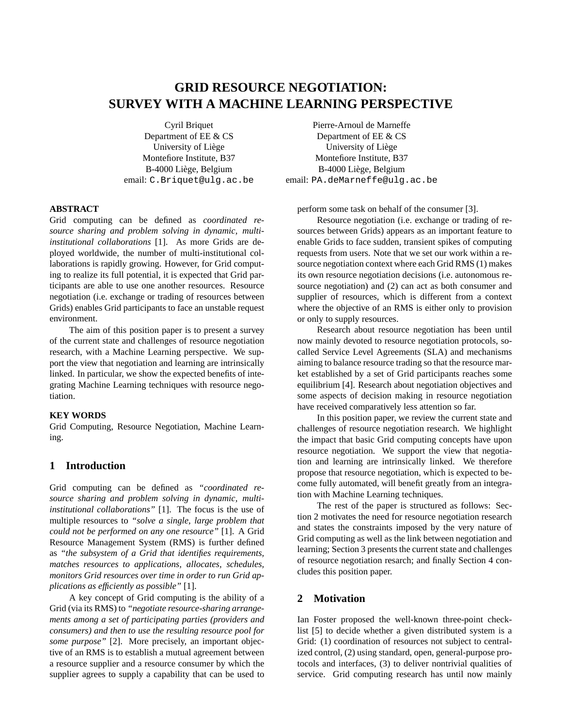# **GRID RESOURCE NEGOTIATION: SURVEY WITH A MACHINE LEARNING PERSPECTIVE**

Cyril Briquet Department of EE & CS University of Liège Montefiore Institute, B37 B-4000 Liege, Belgium ` email: C.Briquet@ulg.ac.be

#### **ABSTRACT**

Grid computing can be defined as *coordinated resource sharing and problem solving in dynamic, multiinstitutional collaborations* [1]. As more Grids are deployed worldwide, the number of multi-institutional collaborations is rapidly growing. However, for Grid computing to realize its full potential, it is expected that Grid participants are able to use one another resources. Resource negotiation (i.e. exchange or trading of resources between Grids) enables Grid participants to face an unstable request environment.

The aim of this position paper is to present a survey of the current state and challenges of resource negotiation research, with a Machine Learning perspective. We support the view that negotiation and learning are intrinsically linked. In particular, we show the expected benefits of integrating Machine Learning techniques with resource negotiation.

#### **KEY WORDS**

Grid Computing, Resource Negotiation, Machine Learning.

#### **1 Introduction**

Grid computing can be defined as *"coordinated resource sharing and problem solving in dynamic, multiinstitutional collaborations"* [1]. The focus is the use of multiple resources to *"solve a single, large problem that could not be performed on any one resource"* [1]. A Grid Resource Management System (RMS) is further defined as *"the subsystem of a Grid that identifies requirements, matches resources to applications, allocates, schedules, monitors Grid resources over time in order to run Grid applications as efficiently as possible"* [1].

A key concept of Grid computing is the ability of a Grid (via its RMS) to *"negotiate resource-sharing arrangements among a set of participating parties (providers and consumers) and then to use the resulting resource pool for some purpose"* [2]. More precisely, an important objective of an RMS is to establish a mutual agreement between a resource supplier and a resource consumer by which the supplier agrees to supply a capability that can be used to

Pierre-Arnoul de Marneffe Department of EE & CS University of Liege ` Montefiore Institute, B37 B-4000 Liege, Belgium ` email: PA.deMarneffe@ulg.ac.be

perform some task on behalf of the consumer [3].

Resource negotiation (i.e. exchange or trading of resources between Grids) appears as an important feature to enable Grids to face sudden, transient spikes of computing requests from users. Note that we set our work within a resource negotiation context where each Grid RMS (1) makes its own resource negotiation decisions (i.e. autonomous resource negotiation) and (2) can act as both consumer and supplier of resources, which is different from a context where the objective of an RMS is either only to provision or only to supply resources.

Research about resource negotiation has been until now mainly devoted to resource negotiation protocols, socalled Service Level Agreements (SLA) and mechanisms aiming to balance resource trading so that the resource market established by a set of Grid participants reaches some equilibrium [4]. Research about negotiation objectives and some aspects of decision making in resource negotiation have received comparatively less attention so far.

In this position paper, we review the current state and challenges of resource negotiation research. We highlight the impact that basic Grid computing concepts have upon resource negotiation. We support the view that negotiation and learning are intrinsically linked. We therefore propose that resource negotiation, which is expected to become fully automated, will benefit greatly from an integration with Machine Learning techniques.

The rest of the paper is structured as follows: Section 2 motivates the need for resource negotiation research and states the constraints imposed by the very nature of Grid computing as well as the link between negotiation and learning; Section 3 presents the current state and challenges of resource negotiation resarch; and finally Section 4 concludes this position paper.

#### **2 Motivation**

Ian Foster proposed the well-known three-point checklist [5] to decide whether a given distributed system is a Grid: (1) coordination of resources not subject to centralized control, (2) using standard, open, general-purpose protocols and interfaces, (3) to deliver nontrivial qualities of service. Grid computing research has until now mainly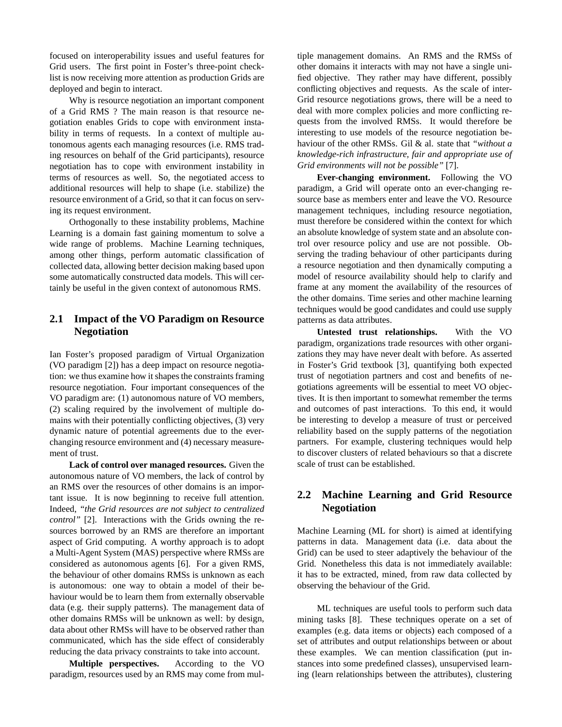focused on interoperability issues and useful features for Grid users. The first point in Foster's three-point checklist is now receiving more attention as production Grids are deployed and begin to interact.

Why is resource negotiation an important component of a Grid RMS ? The main reason is that resource negotiation enables Grids to cope with environment instability in terms of requests. In a context of multiple autonomous agents each managing resources (i.e. RMS trading resources on behalf of the Grid participants), resource negotiation has to cope with environment instability in terms of resources as well. So, the negotiated access to additional resources will help to shape (i.e. stabilize) the resource environment of a Grid, so that it can focus on serving its request environment.

Orthogonally to these instability problems, Machine Learning is a domain fast gaining momentum to solve a wide range of problems. Machine Learning techniques, among other things, perform automatic classification of collected data, allowing better decision making based upon some automatically constructed data models. This will certainly be useful in the given context of autonomous RMS.

# **2.1 Impact of the VO Paradigm on Resource Negotiation**

Ian Foster's proposed paradigm of Virtual Organization (VO paradigm [2]) has a deep impact on resource negotiation: we thus examine how it shapes the constraints framing resource negotiation. Four important consequences of the VO paradigm are: (1) autonomous nature of VO members, (2) scaling required by the involvement of multiple domains with their potentially conflicting objectives, (3) very dynamic nature of potential agreements due to the everchanging resource environment and (4) necessary measurement of trust.

**Lack of control over managed resources.** Given the autonomous nature of VO members, the lack of control by an RMS over the resources of other domains is an important issue. It is now beginning to receive full attention. Indeed, *"the Grid resources are not subject to centralized control"* [2]. Interactions with the Grids owning the resources borrowed by an RMS are therefore an important aspect of Grid computing. A worthy approach is to adopt a Multi-Agent System (MAS) perspective where RMSs are considered as autonomous agents [6]. For a given RMS, the behaviour of other domains RMSs is unknown as each is autonomous: one way to obtain a model of their behaviour would be to learn them from externally observable data (e.g. their supply patterns). The management data of other domains RMSs will be unknown as well: by design, data about other RMSs will have to be observed rather than communicated, which has the side effect of considerably reducing the data privacy constraints to take into account.

**Multiple perspectives.** According to the VO paradigm, resources used by an RMS may come from multiple management domains. An RMS and the RMSs of other domains it interacts with may not have a single unified objective. They rather may have different, possibly conflicting objectives and requests. As the scale of inter-Grid resource negotiations grows, there will be a need to deal with more complex policies and more conflicting requests from the involved RMSs. It would therefore be interesting to use models of the resource negotiation behaviour of the other RMSs. Gil & al. state that *"without a knowledge-rich infrastructure, fair and appropriate use of Grid environments will not be possible"* [7].

**Ever-changing environment.** Following the VO paradigm, a Grid will operate onto an ever-changing resource base as members enter and leave the VO. Resource management techniques, including resource negotiation, must therefore be considered within the context for which an absolute knowledge of system state and an absolute control over resource policy and use are not possible. Observing the trading behaviour of other participants during a resource negotiation and then dynamically computing a model of resource availability should help to clarify and frame at any moment the availability of the resources of the other domains. Time series and other machine learning techniques would be good candidates and could use supply patterns as data attributes.

**Untested trust relationships.** With the VO paradigm, organizations trade resources with other organizations they may have never dealt with before. As asserted in Foster's Grid textbook [3], quantifying both expected trust of negotiation partners and cost and benefits of negotiations agreements will be essential to meet VO objectives. It is then important to somewhat remember the terms and outcomes of past interactions. To this end, it would be interesting to develop a measure of trust or perceived reliability based on the supply patterns of the negotiation partners. For example, clustering techniques would help to discover clusters of related behaviours so that a discrete scale of trust can be established.

# **2.2 Machine Learning and Grid Resource Negotiation**

Machine Learning (ML for short) is aimed at identifying patterns in data. Management data (i.e. data about the Grid) can be used to steer adaptively the behaviour of the Grid. Nonetheless this data is not immediately available: it has to be extracted, mined, from raw data collected by observing the behaviour of the Grid.

ML techniques are useful tools to perform such data mining tasks [8]. These techniques operate on a set of examples (e.g. data items or objects) each composed of a set of attributes and output relationships between or about these examples. We can mention classification (put instances into some predefined classes), unsupervised learning (learn relationships between the attributes), clustering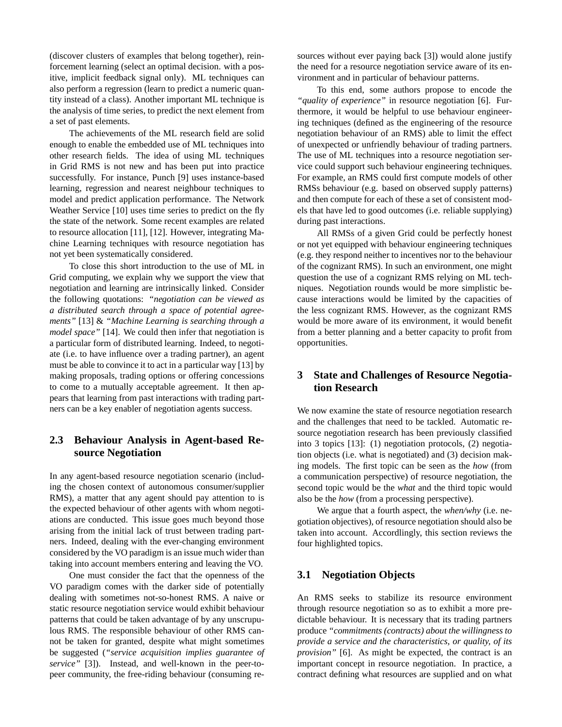(discover clusters of examples that belong together), reinforcement learning (select an optimal decision. with a positive, implicit feedback signal only). ML techniques can also perform a regression (learn to predict a numeric quantity instead of a class). Another important ML technique is the analysis of time series, to predict the next element from a set of past elements.

The achievements of the ML research field are solid enough to enable the embedded use of ML techniques into other research fields. The idea of using ML techniques in Grid RMS is not new and has been put into practice successfully. For instance, Punch [9] uses instance-based learning, regression and nearest neighbour techniques to model and predict application performance. The Network Weather Service [10] uses time series to predict on the fly the state of the network. Some recent examples are related to resource allocation [11], [12]. However, integrating Machine Learning techniques with resource negotiation has not yet been systematically considered.

To close this short introduction to the use of ML in Grid computing, we explain why we support the view that negotiation and learning are intrinsically linked. Consider the following quotations: *"negotiation can be viewed as a distributed search through a space of potential agreements"* [13] & *"Machine Learning is searching through a model space"* [14]. We could then infer that negotiation is a particular form of distributed learning. Indeed, to negotiate (i.e. to have influence over a trading partner), an agent must be able to convince it to act in a particular way [13] by making proposals, trading options or offering concessions to come to a mutually acceptable agreement. It then appears that learning from past interactions with trading partners can be a key enabler of negotiation agents success.

### **2.3 Behaviour Analysis in Agent-based Resource Negotiation**

In any agent-based resource negotiation scenario (including the chosen context of autonomous consumer/supplier RMS), a matter that any agent should pay attention to is the expected behaviour of other agents with whom negotiations are conducted. This issue goes much beyond those arising from the initial lack of trust between trading partners. Indeed, dealing with the ever-changing environment considered by the VO paradigm is an issue much wider than taking into account members entering and leaving the VO.

One must consider the fact that the openness of the VO paradigm comes with the darker side of potentially dealing with sometimes not-so-honest RMS. A naive or static resource negotiation service would exhibit behaviour patterns that could be taken advantage of by any unscrupulous RMS. The responsible behaviour of other RMS cannot be taken for granted, despite what might sometimes be suggested (*"service acquisition implies guarantee of service"* [3]). Instead, and well-known in the peer-topeer community, the free-riding behaviour (consuming resources without ever paying back [3]) would alone justify the need for a resource negotiation service aware of its environment and in particular of behaviour patterns.

To this end, some authors propose to encode the *"quality of experience"* in resource negotiation [6]. Furthermore, it would be helpful to use behaviour engineering techniques (defined as the engineering of the resource negotiation behaviour of an RMS) able to limit the effect of unexpected or unfriendly behaviour of trading partners. The use of ML techniques into a resource negotiation service could support such behaviour engineering techniques. For example, an RMS could first compute models of other RMSs behaviour (e.g. based on observed supply patterns) and then compute for each of these a set of consistent models that have led to good outcomes (i.e. reliable supplying) during past interactions.

All RMSs of a given Grid could be perfectly honest or not yet equipped with behaviour engineering techniques (e.g. they respond neither to incentives nor to the behaviour of the cognizant RMS). In such an environment, one might question the use of a cognizant RMS relying on ML techniques. Negotiation rounds would be more simplistic because interactions would be limited by the capacities of the less cognizant RMS. However, as the cognizant RMS would be more aware of its environment, it would benefit from a better planning and a better capacity to profit from opportunities.

# **3 State and Challenges of Resource Negotiation Research**

We now examine the state of resource negotiation research and the challenges that need to be tackled. Automatic resource negotiation research has been previously classified into 3 topics [13]: (1) negotiation protocols, (2) negotiation objects (i.e. what is negotiated) and (3) decision making models. The first topic can be seen as the *how* (from a communication perspective) of resource negotiation, the second topic would be the *what* and the third topic would also be the *how* (from a processing perspective).

We argue that a fourth aspect, the *when/why* (i.e. negotiation objectives), of resource negotiation should also be taken into account. Accordlingly, this section reviews the four highlighted topics.

### **3.1 Negotiation Objects**

An RMS seeks to stabilize its resource environment through resource negotiation so as to exhibit a more predictable behaviour. It is necessary that its trading partners produce *"commitments (contracts) about the willingness to provide a service and the characteristics, or quality, of its provision"* [6]. As might be expected, the contract is an important concept in resource negotiation. In practice, a contract defining what resources are supplied and on what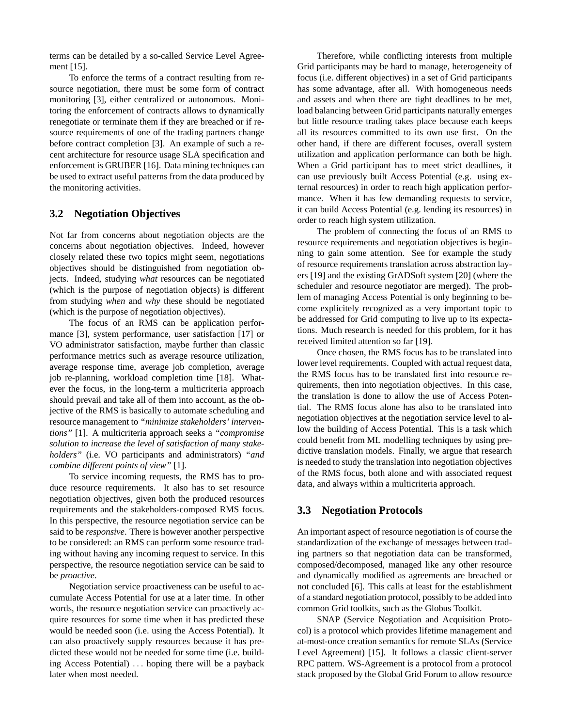terms can be detailed by a so-called Service Level Agreement [15].

To enforce the terms of a contract resulting from resource negotiation, there must be some form of contract monitoring [3], either centralized or autonomous. Monitoring the enforcement of contracts allows to dynamically renegotiate or terminate them if they are breached or if resource requirements of one of the trading partners change before contract completion [3]. An example of such a recent architecture for resource usage SLA specification and enforcement is GRUBER [16]. Data mining techniques can be used to extract useful patterns from the data produced by the monitoring activities.

### **3.2 Negotiation Objectives**

Not far from concerns about negotiation objects are the concerns about negotiation objectives. Indeed, however closely related these two topics might seem, negotiations objectives should be distinguished from negotiation objects. Indeed, studying *what* resources can be negotiated (which is the purpose of negotiation objects) is different from studying *when* and *why* these should be negotiated (which is the purpose of negotiation objectives).

The focus of an RMS can be application performance [3], system performance, user satisfaction [17] or VO administrator satisfaction, maybe further than classic performance metrics such as average resource utilization, average response time, average job completion, average job re-planning, workload completion time [18]. Whatever the focus, in the long-term a multicriteria approach should prevail and take all of them into account, as the objective of the RMS is basically to automate scheduling and resource management to *"minimize stakeholders' interventions"* [1]. A multicriteria approach seeks a *"compromise solution to increase the level of satisfaction of many stakeholders"* (i.e. VO participants and administrators) *"and combine different points of view"* [1].

To service incoming requests, the RMS has to produce resource requirements. It also has to set resource negotiation objectives, given both the produced resources requirements and the stakeholders-composed RMS focus. In this perspective, the resource negotiation service can be said to be *responsive*. There is however another perspective to be considered: an RMS can perform some resource trading without having any incoming request to service. In this perspective, the resource negotiation service can be said to be *proactive*.

Negotiation service proactiveness can be useful to accumulate Access Potential for use at a later time. In other words, the resource negotiation service can proactively acquire resources for some time when it has predicted these would be needed soon (i.e. using the Access Potential). It can also proactively supply resources because it has predicted these would not be needed for some time (i.e. building Access Potential) . . . hoping there will be a payback later when most needed.

Therefore, while conflicting interests from multiple Grid participants may be hard to manage, heterogeneity of focus (i.e. different objectives) in a set of Grid participants has some advantage, after all. With homogeneous needs and assets and when there are tight deadlines to be met, load balancing between Grid participants naturally emerges but little resource trading takes place because each keeps all its resources committed to its own use first. On the other hand, if there are different focuses, overall system utilization and application performance can both be high. When a Grid participant has to meet strict deadlines, it can use previously built Access Potential (e.g. using external resources) in order to reach high application performance. When it has few demanding requests to service, it can build Access Potential (e.g. lending its resources) in order to reach high system utilization.

The problem of connecting the focus of an RMS to resource requirements and negotiation objectives is beginning to gain some attention. See for example the study of resource requirements translation across abstraction layers [19] and the existing GrADSoft system [20] (where the scheduler and resource negotiator are merged). The problem of managing Access Potential is only beginning to become explicitely recognized as a very important topic to be addressed for Grid computing to live up to its expectations. Much research is needed for this problem, for it has received limited attention so far [19].

Once chosen, the RMS focus has to be translated into lower level requirements. Coupled with actual request data, the RMS focus has to be translated first into resource requirements, then into negotiation objectives. In this case, the translation is done to allow the use of Access Potential. The RMS focus alone has also to be translated into negotiation objectives at the negotiation service level to allow the building of Access Potential. This is a task which could benefit from ML modelling techniques by using predictive translation models. Finally, we argue that research is needed to study the translation into negotiation objectives of the RMS focus, both alone and with associated request data, and always within a multicriteria approach.

### **3.3 Negotiation Protocols**

An important aspect of resource negotiation is of course the standardization of the exchange of messages between trading partners so that negotiation data can be transformed, composed/decomposed, managed like any other resource and dynamically modified as agreements are breached or not concluded [6]. This calls at least for the establishment of a standard negotiation protocol, possibly to be added into common Grid toolkits, such as the Globus Toolkit.

SNAP (Service Negotiation and Acquisition Protocol) is a protocol which provides lifetime management and at-most-once creation semantics for remote SLAs (Service Level Agreement) [15]. It follows a classic client-server RPC pattern. WS-Agreement is a protocol from a protocol stack proposed by the Global Grid Forum to allow resource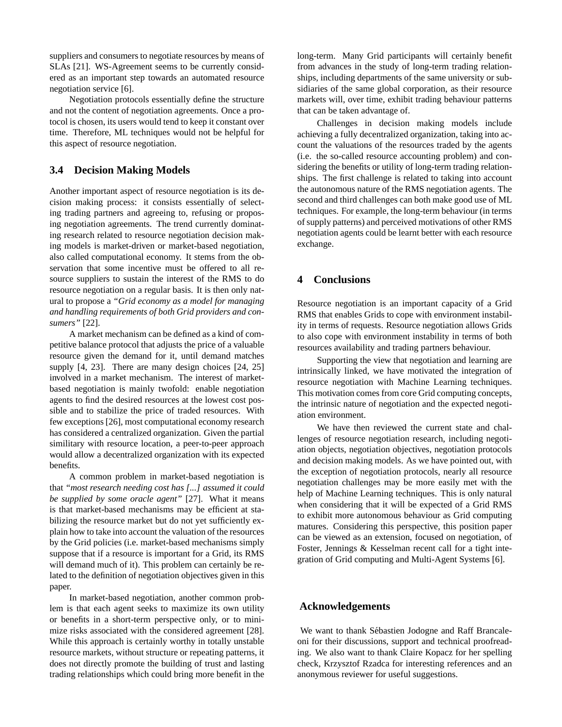suppliers and consumers to negotiate resources by means of SLAs [21]. WS-Agreement seems to be currently considered as an important step towards an automated resource negotiation service [6].

Negotiation protocols essentially define the structure and not the content of negotiation agreements. Once a protocol is chosen, its users would tend to keep it constant over time. Therefore, ML techniques would not be helpful for this aspect of resource negotiation.

#### **3.4 Decision Making Models**

Another important aspect of resource negotiation is its decision making process: it consists essentially of selecting trading partners and agreeing to, refusing or proposing negotiation agreements. The trend currently dominating research related to resource negotiation decision making models is market-driven or market-based negotiation, also called computational economy. It stems from the observation that some incentive must be offered to all resource suppliers to sustain the interest of the RMS to do resource negotiation on a regular basis. It is then only natural to propose a *"Grid economy as a model for managing and handling requirements of both Grid providers and consumers"* [22].

A market mechanism can be defined as a kind of competitive balance protocol that adjusts the price of a valuable resource given the demand for it, until demand matches supply [4, 23]. There are many design choices [24, 25] involved in a market mechanism. The interest of marketbased negotiation is mainly twofold: enable negotiation agents to find the desired resources at the lowest cost possible and to stabilize the price of traded resources. With few exceptions [26], most computational economy research has considered a centralized organization. Given the partial similitary with resource location, a peer-to-peer approach would allow a decentralized organization with its expected benefits.

A common problem in market-based negotiation is that *"most research needing cost has [...] assumed it could be supplied by some oracle agent"* [27]. What it means is that market-based mechanisms may be efficient at stabilizing the resource market but do not yet sufficiently explain how to take into account the valuation of the resources by the Grid policies (i.e. market-based mechanisms simply suppose that if a resource is important for a Grid, its RMS will demand much of it). This problem can certainly be related to the definition of negotiation objectives given in this paper.

In market-based negotiation, another common problem is that each agent seeks to maximize its own utility or benefits in a short-term perspective only, or to minimize risks associated with the considered agreement [28]. While this approach is certainly worthy in totally unstable resource markets, without structure or repeating patterns, it does not directly promote the building of trust and lasting trading relationships which could bring more benefit in the long-term. Many Grid participants will certainly benefit from advances in the study of long-term trading relationships, including departments of the same university or subsidiaries of the same global corporation, as their resource markets will, over time, exhibit trading behaviour patterns that can be taken advantage of.

Challenges in decision making models include achieving a fully decentralized organization, taking into account the valuations of the resources traded by the agents (i.e. the so-called resource accounting problem) and considering the benefits or utility of long-term trading relationships. The first challenge is related to taking into account the autonomous nature of the RMS negotiation agents. The second and third challenges can both make good use of ML techniques. For example, the long-term behaviour (in terms of supply patterns) and perceived motivations of other RMS negotiation agents could be learnt better with each resource exchange.

### **4 Conclusions**

Resource negotiation is an important capacity of a Grid RMS that enables Grids to cope with environment instability in terms of requests. Resource negotiation allows Grids to also cope with environment instability in terms of both resources availability and trading partners behaviour.

Supporting the view that negotiation and learning are intrinsically linked, we have motivated the integration of resource negotiation with Machine Learning techniques. This motivation comes from core Grid computing concepts, the intrinsic nature of negotiation and the expected negotiation environment.

We have then reviewed the current state and challenges of resource negotiation research, including negotiation objects, negotiation objectives, negotiation protocols and decision making models. As we have pointed out, with the exception of negotiation protocols, nearly all resource negotiation challenges may be more easily met with the help of Machine Learning techniques. This is only natural when considering that it will be expected of a Grid RMS to exhibit more autonomous behaviour as Grid computing matures. Considering this perspective, this position paper can be viewed as an extension, focused on negotiation, of Foster, Jennings & Kesselman recent call for a tight integration of Grid computing and Multi-Agent Systems [6].

#### **Acknowledgements**

We want to thank Sébastien Jodogne and Raff Brancaleoni for their discussions, support and technical proofreading. We also want to thank Claire Kopacz for her spelling check, Krzysztof Rzadca for interesting references and an anonymous reviewer for useful suggestions.